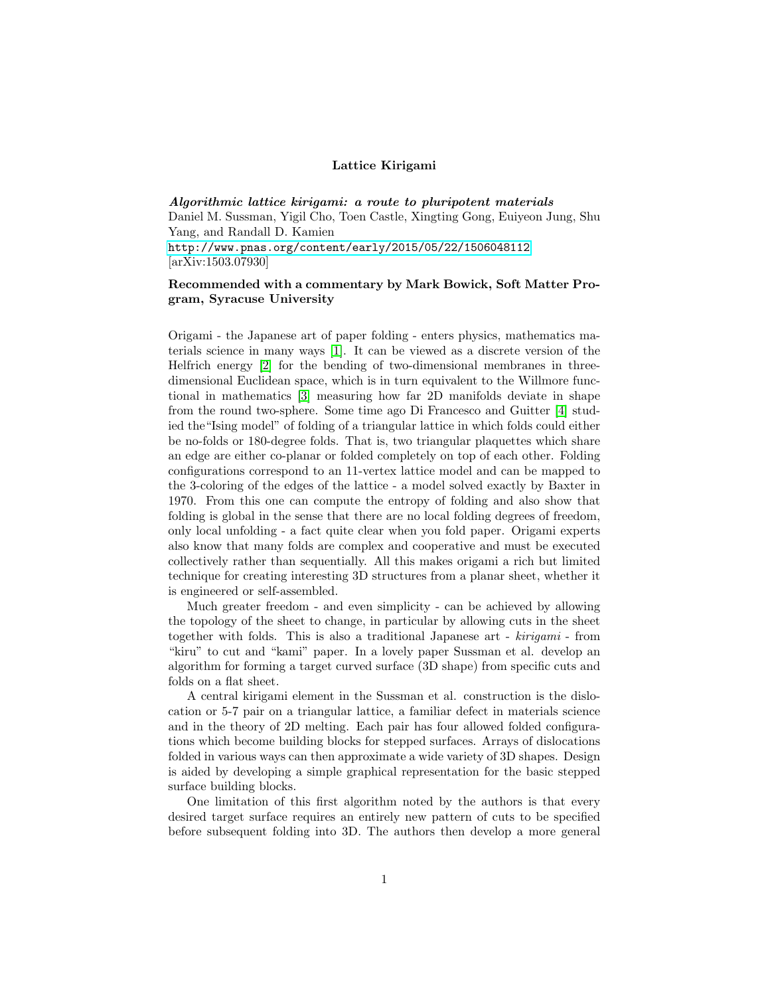## Lattice Kirigami

Algorithmic lattice kirigami: a route to pluripotent materials Daniel M. Sussman, Yigil Cho, Toen Castle, Xingting Gong, Euiyeon Jung, Shu Yang, and Randall D. Kamien <http://www.pnas.org/content/early/2015/05/22/1506048112> [arXiv:1503.07930]

## Recommended with a commentary by Mark Bowick, Soft Matter Program, Syracuse University

Origami - the Japanese art of paper folding - enters physics, mathematics materials science in many ways [\[1\]](#page-1-0). It can be viewed as a discrete version of the Helfrich energy [\[2\]](#page-1-1) for the bending of two-dimensional membranes in threedimensional Euclidean space, which is in turn equivalent to the Willmore functional in mathematics [\[3\]](#page-1-2) measuring how far 2D manifolds deviate in shape from the round two-sphere. Some time ago Di Francesco and Guitter [\[4\]](#page-1-3) studied the"Ising model" of folding of a triangular lattice in which folds could either be no-folds or 180-degree folds. That is, two triangular plaquettes which share an edge are either co-planar or folded completely on top of each other. Folding configurations correspond to an 11-vertex lattice model and can be mapped to the 3-coloring of the edges of the lattice - a model solved exactly by Baxter in 1970. From this one can compute the entropy of folding and also show that folding is global in the sense that there are no local folding degrees of freedom, only local unfolding - a fact quite clear when you fold paper. Origami experts also know that many folds are complex and cooperative and must be executed collectively rather than sequentially. All this makes origami a rich but limited technique for creating interesting 3D structures from a planar sheet, whether it is engineered or self-assembled.

Much greater freedom - and even simplicity - can be achieved by allowing the topology of the sheet to change, in particular by allowing cuts in the sheet together with folds. This is also a traditional Japanese art - kirigami - from "kiru" to cut and "kami" paper. In a lovely paper Sussman et al. develop an algorithm for forming a target curved surface (3D shape) from specific cuts and folds on a flat sheet.

A central kirigami element in the Sussman et al. construction is the dislocation or 5-7 pair on a triangular lattice, a familiar defect in materials science and in the theory of 2D melting. Each pair has four allowed folded configurations which become building blocks for stepped surfaces. Arrays of dislocations folded in various ways can then approximate a wide variety of 3D shapes. Design is aided by developing a simple graphical representation for the basic stepped surface building blocks.

One limitation of this first algorithm noted by the authors is that every desired target surface requires an entirely new pattern of cuts to be specified before subsequent folding into 3D. The authors then develop a more general